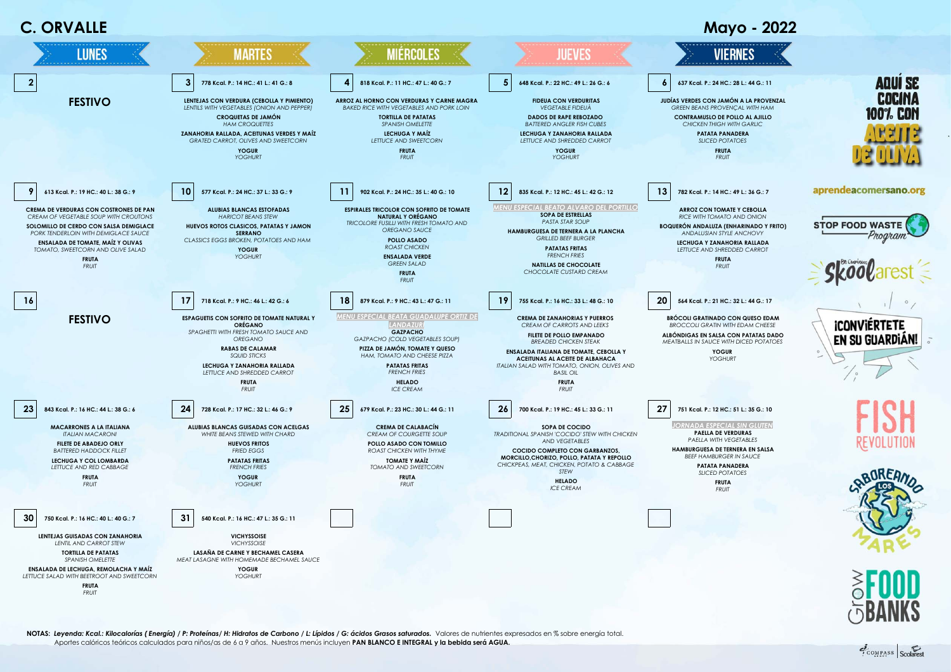

**NOTAS:** *Leyenda: Kcal.: Kilocalorías ( Energía) / P: Proteínas/ H: Hidratos de Carbono / L: Lípidos / G: ácidos Grasos saturados.*Valores de nutrientes expresados en % sobre energía total. Aportes calóricos teóricos calculados para niños/as de 6 a 9 años. Nuestros menús incluyen **PAN BLANCO E INTEGRAL y la bebida será AGUA.**